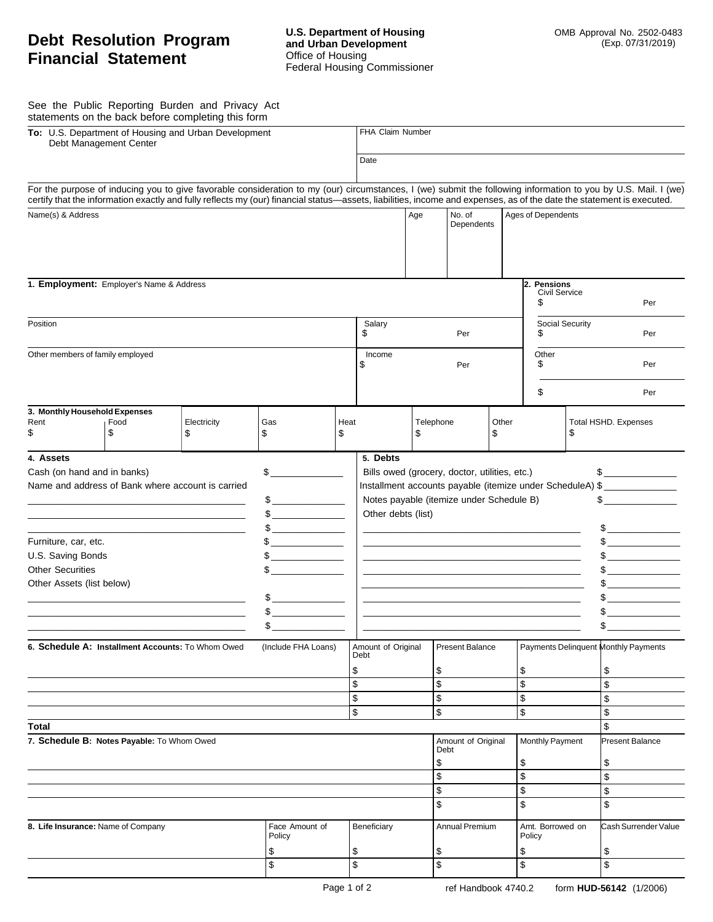## **Debt Resolution Program Financial Statement**

See the Public Reporting Burden and Privacy Act statements on the back before completing this form

| To: U.S. Department of Housing and Urban Development<br>Debt Management Center                                                                                                                                                                                                                                                                                                                                                                                                                                                                                                                                                                                                                                                                                                                                                                                                                                                                                                                                                                                                                                                                                                                                                                                                                                                                                                                               |            |                                                                                                                                                                       |                                |                      | FHA Claim Number                                                                                                                                                                                                                                                                                                                                                            |                              |                                    |  |                                                              |                            |                                                                                                                                                                |  |
|--------------------------------------------------------------------------------------------------------------------------------------------------------------------------------------------------------------------------------------------------------------------------------------------------------------------------------------------------------------------------------------------------------------------------------------------------------------------------------------------------------------------------------------------------------------------------------------------------------------------------------------------------------------------------------------------------------------------------------------------------------------------------------------------------------------------------------------------------------------------------------------------------------------------------------------------------------------------------------------------------------------------------------------------------------------------------------------------------------------------------------------------------------------------------------------------------------------------------------------------------------------------------------------------------------------------------------------------------------------------------------------------------------------|------------|-----------------------------------------------------------------------------------------------------------------------------------------------------------------------|--------------------------------|----------------------|-----------------------------------------------------------------------------------------------------------------------------------------------------------------------------------------------------------------------------------------------------------------------------------------------------------------------------------------------------------------------------|------------------------------|------------------------------------|--|--------------------------------------------------------------|----------------------------|----------------------------------------------------------------------------------------------------------------------------------------------------------------|--|
|                                                                                                                                                                                                                                                                                                                                                                                                                                                                                                                                                                                                                                                                                                                                                                                                                                                                                                                                                                                                                                                                                                                                                                                                                                                                                                                                                                                                              |            |                                                                                                                                                                       |                                |                      |                                                                                                                                                                                                                                                                                                                                                                             | Date                         |                                    |  |                                                              |                            |                                                                                                                                                                |  |
|                                                                                                                                                                                                                                                                                                                                                                                                                                                                                                                                                                                                                                                                                                                                                                                                                                                                                                                                                                                                                                                                                                                                                                                                                                                                                                                                                                                                              |            | certify that the information exactly and fully reflects my (our) financial status—assets, liabilities, income and expenses, as of the date the statement is executed. |                                |                      |                                                                                                                                                                                                                                                                                                                                                                             |                              |                                    |  |                                                              |                            | For the purpose of inducing you to give favorable consideration to my (our) circumstances, I (we) submit the following information to you by U.S. Mail. I (we) |  |
| Name(s) & Address                                                                                                                                                                                                                                                                                                                                                                                                                                                                                                                                                                                                                                                                                                                                                                                                                                                                                                                                                                                                                                                                                                                                                                                                                                                                                                                                                                                            |            |                                                                                                                                                                       | Age                            | No. of<br>Dependents |                                                                                                                                                                                                                                                                                                                                                                             | <b>Ages of Dependents</b>    |                                    |  |                                                              |                            |                                                                                                                                                                |  |
| 1. Employment: Employer's Name & Address                                                                                                                                                                                                                                                                                                                                                                                                                                                                                                                                                                                                                                                                                                                                                                                                                                                                                                                                                                                                                                                                                                                                                                                                                                                                                                                                                                     |            |                                                                                                                                                                       |                                |                      |                                                                                                                                                                                                                                                                                                                                                                             |                              |                                    |  | 2. Pensions<br><b>Civil Service</b><br>S                     |                            | Per                                                                                                                                                            |  |
| Position                                                                                                                                                                                                                                                                                                                                                                                                                                                                                                                                                                                                                                                                                                                                                                                                                                                                                                                                                                                                                                                                                                                                                                                                                                                                                                                                                                                                     |            | Salary<br>\$<br>Per                                                                                                                                                   |                                |                      |                                                                                                                                                                                                                                                                                                                                                                             | Social Security<br>\$<br>Per |                                    |  |                                                              |                            |                                                                                                                                                                |  |
| Other members of family employed                                                                                                                                                                                                                                                                                                                                                                                                                                                                                                                                                                                                                                                                                                                                                                                                                                                                                                                                                                                                                                                                                                                                                                                                                                                                                                                                                                             |            |                                                                                                                                                                       |                                |                      |                                                                                                                                                                                                                                                                                                                                                                             |                              | Per                                |  | Other<br>\$<br>Per                                           |                            |                                                                                                                                                                |  |
|                                                                                                                                                                                                                                                                                                                                                                                                                                                                                                                                                                                                                                                                                                                                                                                                                                                                                                                                                                                                                                                                                                                                                                                                                                                                                                                                                                                                              |            |                                                                                                                                                                       |                                |                      |                                                                                                                                                                                                                                                                                                                                                                             |                              |                                    |  | \$                                                           |                            | Per                                                                                                                                                            |  |
| 3. Monthly Household Expenses<br>Rent<br>\$                                                                                                                                                                                                                                                                                                                                                                                                                                                                                                                                                                                                                                                                                                                                                                                                                                                                                                                                                                                                                                                                                                                                                                                                                                                                                                                                                                  | Food<br>\$ | Electricity<br>\$                                                                                                                                                     | Gas<br>\$                      | Heat<br>\$           |                                                                                                                                                                                                                                                                                                                                                                             | \$                           | Telephone<br>Other<br>\$           |  |                                                              | Total HSHD. Expenses<br>\$ |                                                                                                                                                                |  |
| 4. Assets<br>Cash (on hand and in banks)<br>\$<br>Name and address of Bank where account is carried<br>$\begin{picture}(20,10) \put(0,0){\line(1,0){10}} \put(15,0){\line(1,0){10}} \put(15,0){\line(1,0){10}} \put(15,0){\line(1,0){10}} \put(15,0){\line(1,0){10}} \put(15,0){\line(1,0){10}} \put(15,0){\line(1,0){10}} \put(15,0){\line(1,0){10}} \put(15,0){\line(1,0){10}} \put(15,0){\line(1,0){10}} \put(15,0){\line(1,0){10}} \put(15,0){\line(1$<br>$$$ ______________<br>$\begin{picture}(20,10) \put(0,0){\line(1,0){10}} \put(15,0){\line(1,0){10}} \put(15,0){\line(1,0){10}} \put(15,0){\line(1,0){10}} \put(15,0){\line(1,0){10}} \put(15,0){\line(1,0){10}} \put(15,0){\line(1,0){10}} \put(15,0){\line(1,0){10}} \put(15,0){\line(1,0){10}} \put(15,0){\line(1,0){10}} \put(15,0){\line(1,0){10}} \put(15,0){\line(1$<br>Furniture, car, etc.<br>U.S. Saving Bonds<br>$\overline{\phantom{a}}$ . The contract of $\overline{\phantom{a}}$<br><b>Other Securities</b><br>Other Assets (list below)<br>$\begin{picture}(20,10) \put(0,0){\line(1,0){10}} \put(15,0){\line(1,0){10}} \put(15,0){\line(1,0){10}} \put(15,0){\line(1,0){10}} \put(15,0){\line(1,0){10}} \put(15,0){\line(1,0){10}} \put(15,0){\line(1,0){10}} \put(15,0){\line(1,0){10}} \put(15,0){\line(1,0){10}} \put(15,0){\line(1,0){10}} \put(15,0){\line(1,0){10}} \put(15,0){\line(1$<br><u> Liberatura de la conte</u> |            |                                                                                                                                                                       |                                |                      | 5. Debts<br>Bills owed (grocery, doctor, utilities, etc.)<br>$\frac{1}{2}$<br>Installment accounts payable (itemize under ScheduleA) \$<br>Notes payable (itemize under Schedule B)<br>$\frac{1}{\sqrt{2}}$<br>Other debts (list)<br>$\sim$ $\sim$<br><u> 1989 - Johann John Stone, mars and de final de la provincia de la provincia de la provincia de la provincia d</u> |                              |                                    |  |                                                              |                            |                                                                                                                                                                |  |
| 6. Schedule A: Installment Accounts: To Whom Owed<br>(Include FHA Loans)<br>Debt<br>\$<br>\$<br>\$<br>\$                                                                                                                                                                                                                                                                                                                                                                                                                                                                                                                                                                                                                                                                                                                                                                                                                                                                                                                                                                                                                                                                                                                                                                                                                                                                                                     |            |                                                                                                                                                                       |                                |                      |                                                                                                                                                                                                                                                                                                                                                                             | \$<br>\$<br>\$<br>\$         | Amount of Original Present Balance |  | Payments Delinquent Monthly Payments<br>\$<br>\$<br>\$<br>\$ |                            | \$<br>\$<br>\$<br>\$                                                                                                                                           |  |
| Total<br>7. Schedule B: Notes Payable: To Whom Owed                                                                                                                                                                                                                                                                                                                                                                                                                                                                                                                                                                                                                                                                                                                                                                                                                                                                                                                                                                                                                                                                                                                                                                                                                                                                                                                                                          |            |                                                                                                                                                                       |                                |                      |                                                                                                                                                                                                                                                                                                                                                                             | \$                           | Amount of Original<br>Debt         |  | Monthly Payment<br>\$                                        |                            | \$<br>Present Balance<br>\$                                                                                                                                    |  |
|                                                                                                                                                                                                                                                                                                                                                                                                                                                                                                                                                                                                                                                                                                                                                                                                                                                                                                                                                                                                                                                                                                                                                                                                                                                                                                                                                                                                              |            |                                                                                                                                                                       |                                |                      |                                                                                                                                                                                                                                                                                                                                                                             | $\overline{\$}$<br>\$<br>\$  |                                    |  | \$<br>\$<br>\$                                               |                            | \$<br>\$<br>\$                                                                                                                                                 |  |
| 8. Life Insurance: Name of Company                                                                                                                                                                                                                                                                                                                                                                                                                                                                                                                                                                                                                                                                                                                                                                                                                                                                                                                                                                                                                                                                                                                                                                                                                                                                                                                                                                           |            |                                                                                                                                                                       | Face Amount of<br>Policy<br>\$ |                      | Beneficiary<br>\$                                                                                                                                                                                                                                                                                                                                                           |                              | Annual Premium<br>\$               |  | Amt. Borrowed on<br>Policy<br>\$                             |                            | Cash Surrender Value<br>\$                                                                                                                                     |  |
| \$                                                                                                                                                                                                                                                                                                                                                                                                                                                                                                                                                                                                                                                                                                                                                                                                                                                                                                                                                                                                                                                                                                                                                                                                                                                                                                                                                                                                           |            |                                                                                                                                                                       |                                |                      | \$                                                                                                                                                                                                                                                                                                                                                                          | \$                           | \$<br>\$                           |  |                                                              |                            |                                                                                                                                                                |  |

Page 1 of 2 ref Handbook 4740.2 form **HUD-56142** (1/2006)